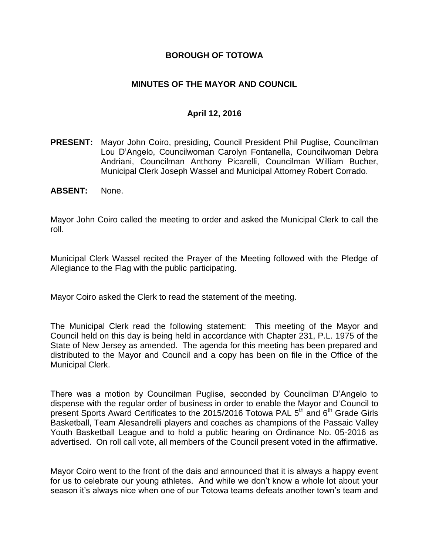### **BOROUGH OF TOTOWA**

### **MINUTES OF THE MAYOR AND COUNCIL**

#### **April 12, 2016**

- **PRESENT:** Mayor John Coiro, presiding, Council President Phil Puglise, Councilman Lou D'Angelo, Councilwoman Carolyn Fontanella, Councilwoman Debra Andriani, Councilman Anthony Picarelli, Councilman William Bucher, Municipal Clerk Joseph Wassel and Municipal Attorney Robert Corrado.
- **ABSENT:** None.

Mayor John Coiro called the meeting to order and asked the Municipal Clerk to call the roll.

Municipal Clerk Wassel recited the Prayer of the Meeting followed with the Pledge of Allegiance to the Flag with the public participating.

Mayor Coiro asked the Clerk to read the statement of the meeting.

The Municipal Clerk read the following statement: This meeting of the Mayor and Council held on this day is being held in accordance with Chapter 231, P.L. 1975 of the State of New Jersey as amended. The agenda for this meeting has been prepared and distributed to the Mayor and Council and a copy has been on file in the Office of the Municipal Clerk.

There was a motion by Councilman Puglise, seconded by Councilman D'Angelo to dispense with the regular order of business in order to enable the Mayor and Council to present Sports Award Certificates to the 2015/2016 Totowa PAL 5<sup>th</sup> and 6<sup>th</sup> Grade Girls Basketball, Team Alesandrelli players and coaches as champions of the Passaic Valley Youth Basketball League and to hold a public hearing on Ordinance No. 05-2016 as advertised. On roll call vote, all members of the Council present voted in the affirmative.

Mayor Coiro went to the front of the dais and announced that it is always a happy event for us to celebrate our young athletes. And while we don't know a whole lot about your season it's always nice when one of our Totowa teams defeats another town's team and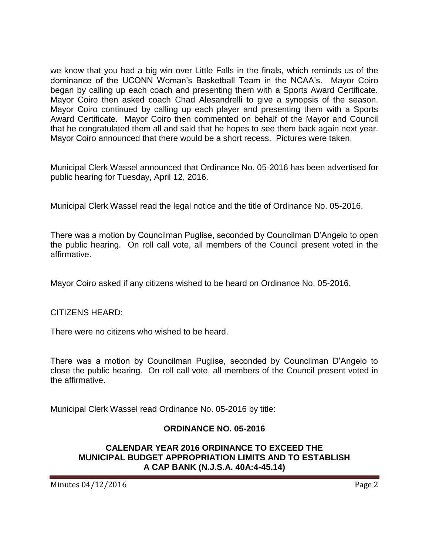we know that you had a big win over Little Falls in the finals, which reminds us of the dominance of the UCONN Woman's Basketball Team in the NCAA's. Mayor Coiro began by calling up each coach and presenting them with a Sports Award Certificate. Mayor Coiro then asked coach Chad Alesandrelli to give a synopsis of the season. Mayor Coiro continued by calling up each player and presenting them with a Sports Award Certificate. Mayor Coiro then commented on behalf of the Mayor and Council that he congratulated them all and said that he hopes to see them back again next year. Mayor Coiro announced that there would be a short recess. Pictures were taken.

Municipal Clerk Wassel announced that Ordinance No. 05-2016 has been advertised for public hearing for Tuesday, April 12, 2016.

Municipal Clerk Wassel read the legal notice and the title of Ordinance No. 05-2016.

There was a motion by Councilman Puglise, seconded by Councilman D'Angelo to open the public hearing. On roll call vote, all members of the Council present voted in the affirmative.

Mayor Coiro asked if any citizens wished to be heard on Ordinance No. 05-2016.

CITIZENS HEARD:

There were no citizens who wished to be heard.

There was a motion by Councilman Puglise, seconded by Councilman D'Angelo to close the public hearing. On roll call vote, all members of the Council present voted in the affirmative.

Municipal Clerk Wassel read Ordinance No. 05-2016 by title:

#### **ORDINANCE NO. 05-2016**

#### **CALENDAR YEAR 2016 ORDINANCE TO EXCEED THE MUNICIPAL BUDGET APPROPRIATION LIMITS AND TO ESTABLISH A CAP BANK (N.J.S.A. 40A:4-45.14)**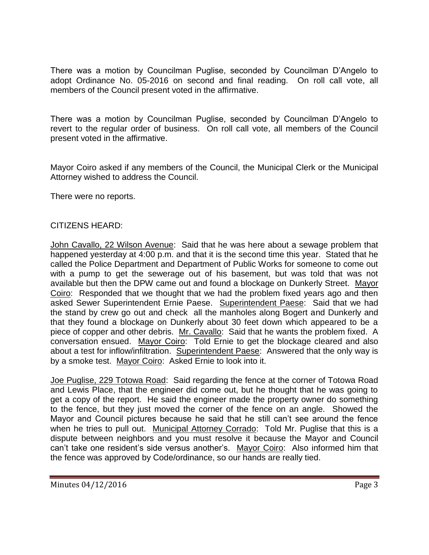There was a motion by Councilman Puglise, seconded by Councilman D'Angelo to adopt Ordinance No. 05-2016 on second and final reading. On roll call vote, all members of the Council present voted in the affirmative.

There was a motion by Councilman Puglise, seconded by Councilman D'Angelo to revert to the regular order of business. On roll call vote, all members of the Council present voted in the affirmative.

Mayor Coiro asked if any members of the Council, the Municipal Clerk or the Municipal Attorney wished to address the Council.

There were no reports.

### CITIZENS HEARD:

John Cavallo, 22 Wilson Avenue: Said that he was here about a sewage problem that happened yesterday at 4:00 p.m. and that it is the second time this year. Stated that he called the Police Department and Department of Public Works for someone to come out with a pump to get the sewerage out of his basement, but was told that was not available but then the DPW came out and found a blockage on Dunkerly Street. Mayor Coiro: Responded that we thought that we had the problem fixed years ago and then asked Sewer Superintendent Ernie Paese. Superintendent Paese: Said that we had the stand by crew go out and check all the manholes along Bogert and Dunkerly and that they found a blockage on Dunkerly about 30 feet down which appeared to be a piece of copper and other debris. Mr. Cavallo: Said that he wants the problem fixed. A conversation ensued. Mayor Coiro: Told Ernie to get the blockage cleared and also about a test for inflow/infiltration. Superintendent Paese: Answered that the only way is by a smoke test. Mayor Coiro: Asked Ernie to look into it.

Joe Puglise, 229 Totowa Road: Said regarding the fence at the corner of Totowa Road and Lewis Place, that the engineer did come out, but he thought that he was going to get a copy of the report. He said the engineer made the property owner do something to the fence, but they just moved the corner of the fence on an angle. Showed the Mayor and Council pictures because he said that he still can't see around the fence when he tries to pull out. Municipal Attorney Corrado: Told Mr. Puglise that this is a dispute between neighbors and you must resolve it because the Mayor and Council can't take one resident's side versus another's. Mayor Coiro: Also informed him that the fence was approved by Code/ordinance, so our hands are really tied.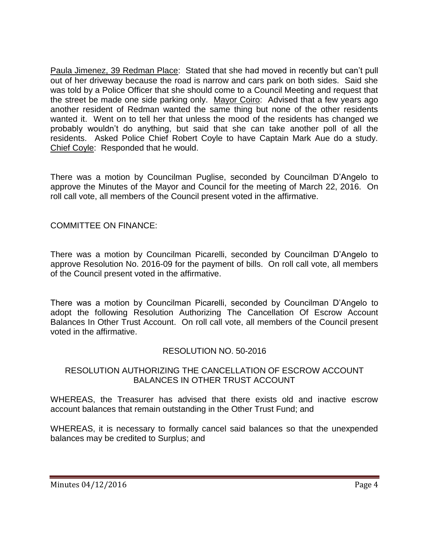Paula Jimenez, 39 Redman Place: Stated that she had moved in recently but can't pull out of her driveway because the road is narrow and cars park on both sides. Said she was told by a Police Officer that she should come to a Council Meeting and request that the street be made one side parking only. Mayor Coiro: Advised that a few years ago another resident of Redman wanted the same thing but none of the other residents wanted it. Went on to tell her that unless the mood of the residents has changed we probably wouldn't do anything, but said that she can take another poll of all the residents. Asked Police Chief Robert Coyle to have Captain Mark Aue do a study. Chief Coyle: Responded that he would.

There was a motion by Councilman Puglise, seconded by Councilman D'Angelo to approve the Minutes of the Mayor and Council for the meeting of March 22, 2016. On roll call vote, all members of the Council present voted in the affirmative.

## COMMITTEE ON FINANCE:

There was a motion by Councilman Picarelli, seconded by Councilman D'Angelo to approve Resolution No. 2016-09 for the payment of bills. On roll call vote, all members of the Council present voted in the affirmative.

There was a motion by Councilman Picarelli, seconded by Councilman D'Angelo to adopt the following Resolution Authorizing The Cancellation Of Escrow Account Balances In Other Trust Account. On roll call vote, all members of the Council present voted in the affirmative.

## RESOLUTION NO. 50-2016

### RESOLUTION AUTHORIZING THE CANCELLATION OF ESCROW ACCOUNT BALANCES IN OTHER TRUST ACCOUNT

WHEREAS, the Treasurer has advised that there exists old and inactive escrow account balances that remain outstanding in the Other Trust Fund; and

WHEREAS, it is necessary to formally cancel said balances so that the unexpended balances may be credited to Surplus; and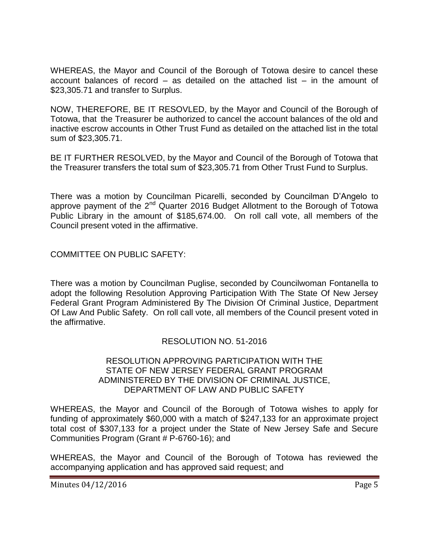WHEREAS, the Mayor and Council of the Borough of Totowa desire to cancel these account balances of record – as detailed on the attached list – in the amount of \$23,305.71 and transfer to Surplus.

NOW, THEREFORE, BE IT RESOVLED, by the Mayor and Council of the Borough of Totowa, that the Treasurer be authorized to cancel the account balances of the old and inactive escrow accounts in Other Trust Fund as detailed on the attached list in the total sum of \$23,305.71.

BE IT FURTHER RESOLVED, by the Mayor and Council of the Borough of Totowa that the Treasurer transfers the total sum of \$23,305.71 from Other Trust Fund to Surplus.

There was a motion by Councilman Picarelli, seconded by Councilman D'Angelo to approve payment of the  $2^{nd}$  Quarter 2016 Budget Allotment to the Borough of Totowa Public Library in the amount of \$185,674.00. On roll call vote, all members of the Council present voted in the affirmative.

COMMITTEE ON PUBLIC SAFETY:

There was a motion by Councilman Puglise, seconded by Councilwoman Fontanella to adopt the following Resolution Approving Participation With The State Of New Jersey Federal Grant Program Administered By The Division Of Criminal Justice, Department Of Law And Public Safety. On roll call vote, all members of the Council present voted in the affirmative.

## RESOLUTION NO. 51-2016

#### RESOLUTION APPROVING PARTICIPATION WITH THE STATE OF NEW JERSEY FEDERAL GRANT PROGRAM ADMINISTERED BY THE DIVISION OF CRIMINAL JUSTICE, DEPARTMENT OF LAW AND PUBLIC SAFETY

WHEREAS, the Mayor and Council of the Borough of Totowa wishes to apply for funding of approximately \$60,000 with a match of \$247,133 for an approximate project total cost of \$307,133 for a project under the State of New Jersey Safe and Secure Communities Program (Grant # P-6760-16); and

WHEREAS, the Mayor and Council of the Borough of Totowa has reviewed the accompanying application and has approved said request; and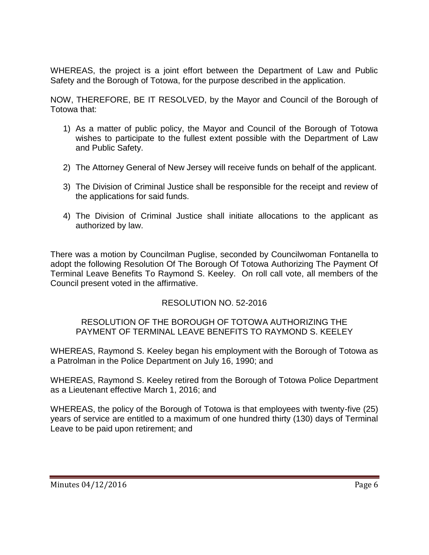WHEREAS, the project is a joint effort between the Department of Law and Public Safety and the Borough of Totowa, for the purpose described in the application.

NOW, THEREFORE, BE IT RESOLVED, by the Mayor and Council of the Borough of Totowa that:

- 1) As a matter of public policy, the Mayor and Council of the Borough of Totowa wishes to participate to the fullest extent possible with the Department of Law and Public Safety.
- 2) The Attorney General of New Jersey will receive funds on behalf of the applicant.
- 3) The Division of Criminal Justice shall be responsible for the receipt and review of the applications for said funds.
- 4) The Division of Criminal Justice shall initiate allocations to the applicant as authorized by law.

There was a motion by Councilman Puglise, seconded by Councilwoman Fontanella to adopt the following Resolution Of The Borough Of Totowa Authorizing The Payment Of Terminal Leave Benefits To Raymond S. Keeley. On roll call vote, all members of the Council present voted in the affirmative.

## RESOLUTION NO. 52-2016

#### RESOLUTION OF THE BOROUGH OF TOTOWA AUTHORIZING THE PAYMENT OF TERMINAL LEAVE BENEFITS TO RAYMOND S. KEELEY

WHEREAS, Raymond S. Keeley began his employment with the Borough of Totowa as a Patrolman in the Police Department on July 16, 1990; and

WHEREAS, Raymond S. Keeley retired from the Borough of Totowa Police Department as a Lieutenant effective March 1, 2016; and

WHEREAS, the policy of the Borough of Totowa is that employees with twenty-five (25) years of service are entitled to a maximum of one hundred thirty (130) days of Terminal Leave to be paid upon retirement; and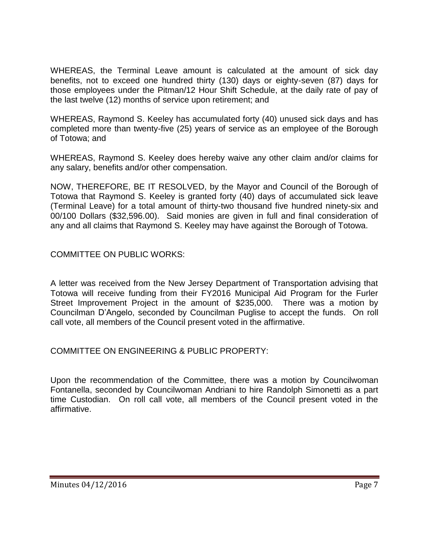WHEREAS, the Terminal Leave amount is calculated at the amount of sick day benefits, not to exceed one hundred thirty (130) days or eighty-seven (87) days for those employees under the Pitman/12 Hour Shift Schedule, at the daily rate of pay of the last twelve (12) months of service upon retirement; and

WHEREAS, Raymond S. Keeley has accumulated forty (40) unused sick days and has completed more than twenty-five (25) years of service as an employee of the Borough of Totowa; and

WHEREAS, Raymond S. Keeley does hereby waive any other claim and/or claims for any salary, benefits and/or other compensation.

NOW, THEREFORE, BE IT RESOLVED, by the Mayor and Council of the Borough of Totowa that Raymond S. Keeley is granted forty (40) days of accumulated sick leave (Terminal Leave) for a total amount of thirty-two thousand five hundred ninety-six and 00/100 Dollars (\$32,596.00). Said monies are given in full and final consideration of any and all claims that Raymond S. Keeley may have against the Borough of Totowa.

COMMITTEE ON PUBLIC WORKS:

A letter was received from the New Jersey Department of Transportation advising that Totowa will receive funding from their FY2016 Municipal Aid Program for the Furler Street Improvement Project in the amount of \$235,000. There was a motion by Councilman D'Angelo, seconded by Councilman Puglise to accept the funds. On roll call vote, all members of the Council present voted in the affirmative.

COMMITTEE ON ENGINEERING & PUBLIC PROPERTY:

Upon the recommendation of the Committee, there was a motion by Councilwoman Fontanella, seconded by Councilwoman Andriani to hire Randolph Simonetti as a part time Custodian. On roll call vote, all members of the Council present voted in the affirmative.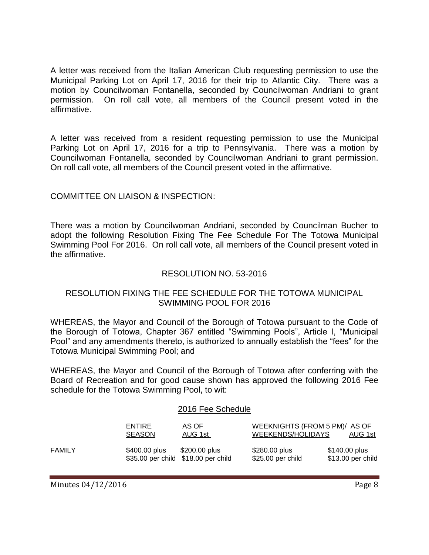A letter was received from the Italian American Club requesting permission to use the Municipal Parking Lot on April 17, 2016 for their trip to Atlantic City. There was a motion by Councilwoman Fontanella, seconded by Councilwoman Andriani to grant permission. On roll call vote, all members of the Council present voted in the affirmative.

A letter was received from a resident requesting permission to use the Municipal Parking Lot on April 17, 2016 for a trip to Pennsylvania. There was a motion by Councilwoman Fontanella, seconded by Councilwoman Andriani to grant permission. On roll call vote, all members of the Council present voted in the affirmative.

## COMMITTEE ON LIAISON & INSPECTION:

There was a motion by Councilwoman Andriani, seconded by Councilman Bucher to adopt the following Resolution Fixing The Fee Schedule For The Totowa Municipal Swimming Pool For 2016. On roll call vote, all members of the Council present voted in the affirmative.

#### RESOLUTION NO. 53-2016

### RESOLUTION FIXING THE FEE SCHEDULE FOR THE TOTOWA MUNICIPAL SWIMMING POOL FOR 2016

WHEREAS, the Mayor and Council of the Borough of Totowa pursuant to the Code of the Borough of Totowa, Chapter 367 entitled "Swimming Pools", Article I, "Municipal Pool" and any amendments thereto, is authorized to annually establish the "fees" for the Totowa Municipal Swimming Pool; and

WHEREAS, the Mayor and Council of the Borough of Totowa after conferring with the Board of Recreation and for good cause shown has approved the following 2016 Fee schedule for the Totowa Swimming Pool, to wit:

#### 2016 Fee Schedule

|        | <b>ENTIRE</b><br><b>SEASON</b>                       | AS OF<br>AUG 1st | WEEKNIGHTS (FROM 5 PM)/ AS OF<br>WEEKENDS/HOLIDAYS | AUG 1st                            |
|--------|------------------------------------------------------|------------------|----------------------------------------------------|------------------------------------|
| FAMILY | \$400.00 plus<br>\$35.00 per child \$18.00 per child | \$200.00 plus    | \$280.00 plus<br>\$25.00 per child                 | \$140.00 plus<br>\$13.00 per child |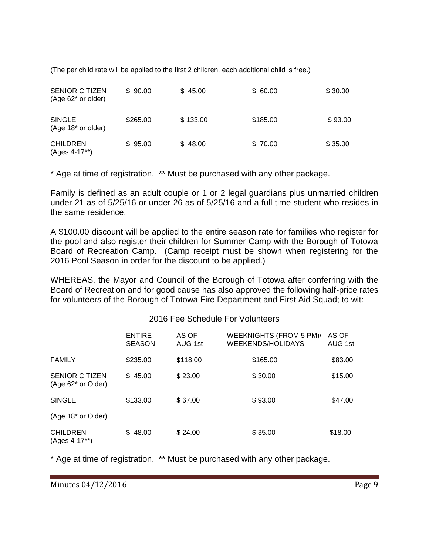(The per child rate will be applied to the first 2 children, each additional child is free.)

| <b>SENIOR CITIZEN</b><br>$(Age 62^*$ or older) | \$90.00  | \$45.00  | \$60.00  | \$30.00 |
|------------------------------------------------|----------|----------|----------|---------|
| <b>SINGLE</b><br>(Age 18* or older)            | \$265.00 | \$133.00 | \$185.00 | \$93.00 |
| <b>CHILDREN</b><br>(Ages 4-17**)               | \$95.00  | \$48.00  | \$70.00  | \$35.00 |

\* Age at time of registration. \*\* Must be purchased with any other package.

Family is defined as an adult couple or 1 or 2 legal guardians plus unmarried children under 21 as of 5/25/16 or under 26 as of 5/25/16 and a full time student who resides in the same residence.

A \$100.00 discount will be applied to the entire season rate for families who register for the pool and also register their children for Summer Camp with the Borough of Totowa Board of Recreation Camp. (Camp receipt must be shown when registering for the 2016 Pool Season in order for the discount to be applied.)

WHEREAS, the Mayor and Council of the Borough of Totowa after conferring with the Board of Recreation and for good cause has also approved the following half-price rates for volunteers of the Borough of Totowa Fire Department and First Aid Squad; to wit:

#### 2016 Fee Schedule For Volunteers

|                                             | <b>ENTIRE</b><br><b>SEASON</b> | AS OF<br>AUG 1st | WEEKNIGHTS (FROM 5 PM)/<br><b>WEEKENDS/HOLIDAYS</b> | AS OF<br>AUG 1st |
|---------------------------------------------|--------------------------------|------------------|-----------------------------------------------------|------------------|
| <b>FAMILY</b>                               | \$235.00                       | \$118.00         | \$165.00                                            | \$83.00          |
| <b>SENIOR CITIZEN</b><br>(Age 62* or Older) | \$45.00                        | \$23.00          | \$30.00                                             | \$15.00          |
| <b>SINGLE</b>                               | \$133.00                       | \$67.00          | \$93.00                                             | \$47.00          |
| (Age 18 <sup>*</sup> or Older)              |                                |                  |                                                     |                  |
| <b>CHILDREN</b><br>(Ages 4-17**)            | \$48.00                        | \$24.00          | \$35.00                                             | \$18.00          |

\* Age at time of registration. \*\* Must be purchased with any other package.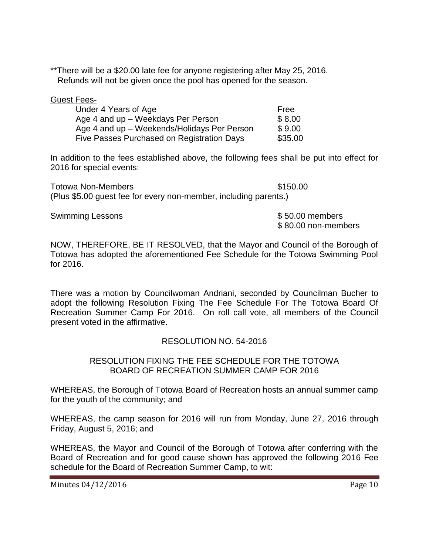\*\*There will be a \$20.00 late fee for anyone registering after May 25, 2016. Refunds will not be given once the pool has opened for the season.

| <b>Guest Fees-</b>                          |         |
|---------------------------------------------|---------|
| Under 4 Years of Age                        | Free    |
| Age 4 and up - Weekdays Per Person          | \$8.00  |
| Age 4 and up - Weekends/Holidays Per Person | \$9.00  |
| Five Passes Purchased on Registration Days  | \$35.00 |

In addition to the fees established above, the following fees shall be put into effect for 2016 for special events:

Totowa Non-Members  $$150.00$ (Plus \$5.00 guest fee for every non-member, including parents.)

Swimming Lessons **\$50.00 members** 

\$ 80.00 non-members

NOW, THEREFORE, BE IT RESOLVED, that the Mayor and Council of the Borough of Totowa has adopted the aforementioned Fee Schedule for the Totowa Swimming Pool for 2016.

There was a motion by Councilwoman Andriani, seconded by Councilman Bucher to adopt the following Resolution Fixing The Fee Schedule For The Totowa Board Of Recreation Summer Camp For 2016. On roll call vote, all members of the Council present voted in the affirmative.

## RESOLUTION NO. 54-2016

#### RESOLUTION FIXING THE FEE SCHEDULE FOR THE TOTOWA BOARD OF RECREATION SUMMER CAMP FOR 2016

WHEREAS, the Borough of Totowa Board of Recreation hosts an annual summer camp for the youth of the community; and

WHEREAS, the camp season for 2016 will run from Monday, June 27, 2016 through Friday, August 5, 2016; and

WHEREAS, the Mayor and Council of the Borough of Totowa after conferring with the Board of Recreation and for good cause shown has approved the following 2016 Fee schedule for the Board of Recreation Summer Camp, to wit: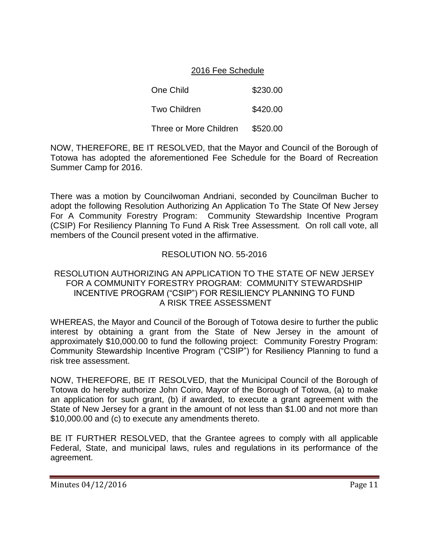### 2016 Fee Schedule

One Child  $$230.00$ Two Children **\$420.00** Three or More Children \$520.00

NOW, THEREFORE, BE IT RESOLVED, that the Mayor and Council of the Borough of Totowa has adopted the aforementioned Fee Schedule for the Board of Recreation Summer Camp for 2016.

There was a motion by Councilwoman Andriani, seconded by Councilman Bucher to adopt the following Resolution Authorizing An Application To The State Of New Jersey For A Community Forestry Program: Community Stewardship Incentive Program (CSIP) For Resiliency Planning To Fund A Risk Tree Assessment. On roll call vote, all members of the Council present voted in the affirmative.

### RESOLUTION NO. 55-2016

#### RESOLUTION AUTHORIZING AN APPLICATION TO THE STATE OF NEW JERSEY FOR A COMMUNITY FORESTRY PROGRAM: COMMUNITY STEWARDSHIP INCENTIVE PROGRAM ("CSIP") FOR RESILIENCY PLANNING TO FUND A RISK TREE ASSESSMENT

WHEREAS, the Mayor and Council of the Borough of Totowa desire to further the public interest by obtaining a grant from the State of New Jersey in the amount of approximately \$10,000.00 to fund the following project: Community Forestry Program: Community Stewardship Incentive Program ("CSIP") for Resiliency Planning to fund a risk tree assessment.

NOW, THEREFORE, BE IT RESOLVED, that the Municipal Council of the Borough of Totowa do hereby authorize John Coiro, Mayor of the Borough of Totowa, (a) to make an application for such grant, (b) if awarded, to execute a grant agreement with the State of New Jersey for a grant in the amount of not less than \$1.00 and not more than \$10,000.00 and (c) to execute any amendments thereto.

BE IT FURTHER RESOLVED, that the Grantee agrees to comply with all applicable Federal, State, and municipal laws, rules and regulations in its performance of the agreement.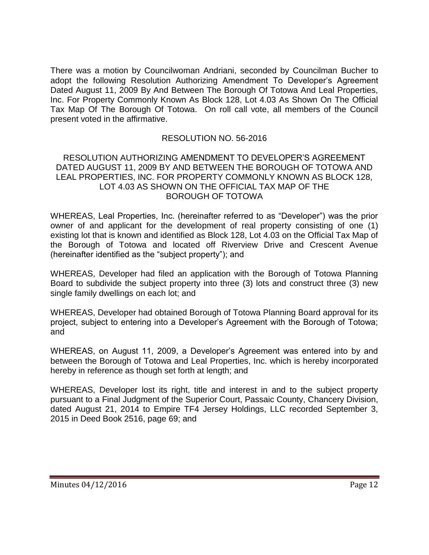There was a motion by Councilwoman Andriani, seconded by Councilman Bucher to adopt the following Resolution Authorizing Amendment To Developer's Agreement Dated August 11, 2009 By And Between The Borough Of Totowa And Leal Properties, Inc. For Property Commonly Known As Block 128, Lot 4.03 As Shown On The Official Tax Map Of The Borough Of Totowa. On roll call vote, all members of the Council present voted in the affirmative.

### RESOLUTION NO. 56-2016

#### RESOLUTION AUTHORIZING AMENDMENT TO DEVELOPER'S AGREEMENT DATED AUGUST 11, 2009 BY AND BETWEEN THE BOROUGH OF TOTOWA AND LEAL PROPERTIES, INC. FOR PROPERTY COMMONLY KNOWN AS BLOCK 128, LOT 4.03 AS SHOWN ON THE OFFICIAL TAX MAP OF THE BOROUGH OF TOTOWA

WHEREAS, Leal Properties, Inc. (hereinafter referred to as "Developer") was the prior owner of and applicant for the development of real property consisting of one (1) existing lot that is known and identified as Block 128, Lot 4.03 on the Official Tax Map of the Borough of Totowa and located off Riverview Drive and Crescent Avenue (hereinafter identified as the "subject property"); and

WHEREAS, Developer had filed an application with the Borough of Totowa Planning Board to subdivide the subject property into three (3) lots and construct three (3) new single family dwellings on each lot; and

WHEREAS, Developer had obtained Borough of Totowa Planning Board approval for its project, subject to entering into a Developer's Agreement with the Borough of Totowa; and

WHEREAS, on August 11, 2009, a Developer's Agreement was entered into by and between the Borough of Totowa and Leal Properties, Inc. which is hereby incorporated hereby in reference as though set forth at length; and

WHEREAS, Developer lost its right, title and interest in and to the subject property pursuant to a Final Judgment of the Superior Court, Passaic County, Chancery Division, dated August 21, 2014 to Empire TF4 Jersey Holdings, LLC recorded September 3, 2015 in Deed Book 2516, page 69; and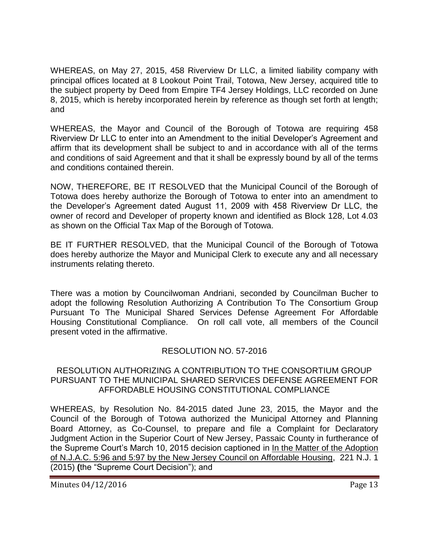WHEREAS, on May 27, 2015, 458 Riverview Dr LLC, a limited liability company with principal offices located at 8 Lookout Point Trail, Totowa, New Jersey, acquired title to the subject property by Deed from Empire TF4 Jersey Holdings, LLC recorded on June 8, 2015, which is hereby incorporated herein by reference as though set forth at length; and

WHEREAS, the Mayor and Council of the Borough of Totowa are requiring 458 Riverview Dr LLC to enter into an Amendment to the initial Developer's Agreement and affirm that its development shall be subject to and in accordance with all of the terms and conditions of said Agreement and that it shall be expressly bound by all of the terms and conditions contained therein.

NOW, THEREFORE, BE IT RESOLVED that the Municipal Council of the Borough of Totowa does hereby authorize the Borough of Totowa to enter into an amendment to the Developer's Agreement dated August 11, 2009 with 458 Riverview Dr LLC, the owner of record and Developer of property known and identified as Block 128, Lot 4.03 as shown on the Official Tax Map of the Borough of Totowa.

BE IT FURTHER RESOLVED, that the Municipal Council of the Borough of Totowa does hereby authorize the Mayor and Municipal Clerk to execute any and all necessary instruments relating thereto.

There was a motion by Councilwoman Andriani, seconded by Councilman Bucher to adopt the following Resolution Authorizing A Contribution To The Consortium Group Pursuant To The Municipal Shared Services Defense Agreement For Affordable Housing Constitutional Compliance. On roll call vote, all members of the Council present voted in the affirmative.

# RESOLUTION NO. 57-2016

### RESOLUTION AUTHORIZING A CONTRIBUTION TO THE CONSORTIUM GROUP PURSUANT TO THE MUNICIPAL SHARED SERVICES DEFENSE AGREEMENT FOR AFFORDABLE HOUSING CONSTITUTIONAL COMPLIANCE

WHEREAS, by Resolution No. 84-2015 dated June 23, 2015, the Mayor and the Council of the Borough of Totowa authorized the Municipal Attorney and Planning Board Attorney, as Co-Counsel, to prepare and file a Complaint for Declaratory Judgment Action in the Superior Court of New Jersey, Passaic County in furtherance of the Supreme Court's March 10, 2015 decision captioned in In the Matter of the Adoption of N.J.A.C. 5:96 and 5:97 by the New Jersey Council on Affordable Housing,221 N.J. 1 (2015) **(**the "Supreme Court Decision"); and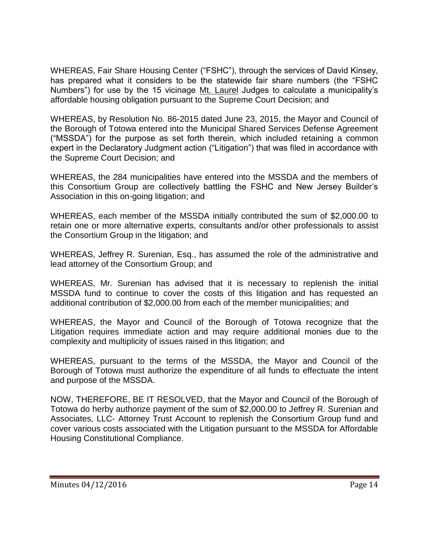WHEREAS, Fair Share Housing Center ("FSHC"), through the services of David Kinsey, has prepared what it considers to be the statewide fair share numbers (the "FSHC Numbers") for use by the 15 vicinage Mt. Laurel Judges to calculate a municipality's affordable housing obligation pursuant to the Supreme Court Decision; and

WHEREAS, by Resolution No. 86-2015 dated June 23, 2015, the Mayor and Council of the Borough of Totowa entered into the Municipal Shared Services Defense Agreement ("MSSDA") for the purpose as set forth therein, which included retaining a common expert in the Declaratory Judgment action ("Litigation") that was filed in accordance with the Supreme Court Decision; and

WHEREAS, the 284 municipalities have entered into the MSSDA and the members of this Consortium Group are collectively battling the FSHC and New Jersey Builder's Association in this on-going litigation; and

WHEREAS, each member of the MSSDA initially contributed the sum of \$2,000.00 to retain one or more alternative experts, consultants and/or other professionals to assist the Consortium Group in the litigation; and

WHEREAS, Jeffrey R. Surenian, Esq., has assumed the role of the administrative and lead attorney of the Consortium Group; and

WHEREAS, Mr. Surenian has advised that it is necessary to replenish the initial MSSDA fund to continue to cover the costs of this litigation and has requested an additional contribution of \$2,000.00 from each of the member municipalities; and

WHEREAS, the Mayor and Council of the Borough of Totowa recognize that the Litigation requires immediate action and may require additional monies due to the complexity and multiplicity of issues raised in this litigation; and

WHEREAS, pursuant to the terms of the MSSDA, the Mayor and Council of the Borough of Totowa must authorize the expenditure of all funds to effectuate the intent and purpose of the MSSDA.

NOW, THEREFORE, BE IT RESOLVED, that the Mayor and Council of the Borough of Totowa do herby authorize payment of the sum of \$2,000.00 to Jeffrey R. Surenian and Associates, LLC- Attorney Trust Account to replenish the Consortium Group fund and cover various costs associated with the Litigation pursuant to the MSSDA for Affordable Housing Constitutional Compliance.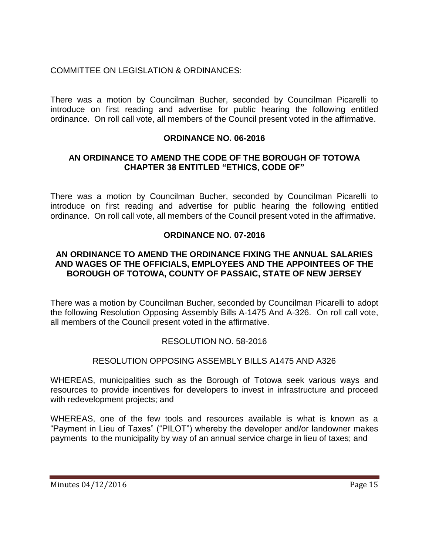# COMMITTEE ON LEGISLATION & ORDINANCES:

There was a motion by Councilman Bucher, seconded by Councilman Picarelli to introduce on first reading and advertise for public hearing the following entitled ordinance. On roll call vote, all members of the Council present voted in the affirmative.

## **ORDINANCE NO. 06-2016**

### **AN ORDINANCE TO AMEND THE CODE OF THE BOROUGH OF TOTOWA CHAPTER 38 ENTITLED "ETHICS, CODE OF"**

There was a motion by Councilman Bucher, seconded by Councilman Picarelli to introduce on first reading and advertise for public hearing the following entitled ordinance. On roll call vote, all members of the Council present voted in the affirmative.

### **ORDINANCE NO. 07-2016**

#### **AN ORDINANCE TO AMEND THE ORDINANCE FIXING THE ANNUAL SALARIES AND WAGES OF THE OFFICIALS, EMPLOYEES AND THE APPOINTEES OF THE BOROUGH OF TOTOWA, COUNTY OF PASSAIC, STATE OF NEW JERSEY**

There was a motion by Councilman Bucher, seconded by Councilman Picarelli to adopt the following Resolution Opposing Assembly Bills A-1475 And A-326. On roll call vote, all members of the Council present voted in the affirmative.

## RESOLUTION NO. 58-2016

#### RESOLUTION OPPOSING ASSEMBLY BILLS A1475 AND A326

WHEREAS, municipalities such as the Borough of Totowa seek various ways and resources to provide incentives for developers to invest in infrastructure and proceed with redevelopment projects; and

WHEREAS, one of the few tools and resources available is what is known as a "Payment in Lieu of Taxes" ("PILOT") whereby the developer and/or landowner makes payments to the municipality by way of an annual service charge in lieu of taxes; and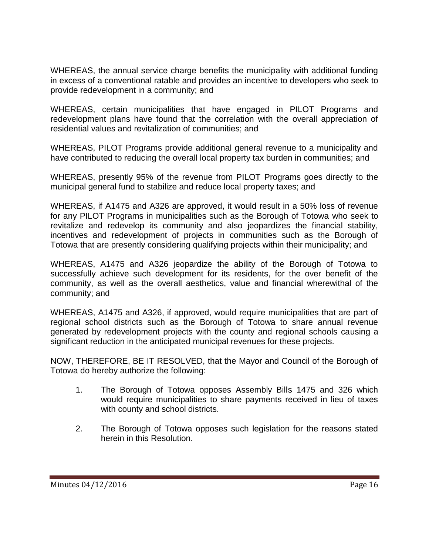WHEREAS, the annual service charge benefits the municipality with additional funding in excess of a conventional ratable and provides an incentive to developers who seek to provide redevelopment in a community; and

WHEREAS, certain municipalities that have engaged in PILOT Programs and redevelopment plans have found that the correlation with the overall appreciation of residential values and revitalization of communities; and

WHEREAS, PILOT Programs provide additional general revenue to a municipality and have contributed to reducing the overall local property tax burden in communities; and

WHEREAS, presently 95% of the revenue from PILOT Programs goes directly to the municipal general fund to stabilize and reduce local property taxes; and

WHEREAS, if A1475 and A326 are approved, it would result in a 50% loss of revenue for any PILOT Programs in municipalities such as the Borough of Totowa who seek to revitalize and redevelop its community and also jeopardizes the financial stability, incentives and redevelopment of projects in communities such as the Borough of Totowa that are presently considering qualifying projects within their municipality; and

WHEREAS, A1475 and A326 jeopardize the ability of the Borough of Totowa to successfully achieve such development for its residents, for the over benefit of the community, as well as the overall aesthetics, value and financial wherewithal of the community; and

WHEREAS, A1475 and A326, if approved, would require municipalities that are part of regional school districts such as the Borough of Totowa to share annual revenue generated by redevelopment projects with the county and regional schools causing a significant reduction in the anticipated municipal revenues for these projects.

NOW, THEREFORE, BE IT RESOLVED, that the Mayor and Council of the Borough of Totowa do hereby authorize the following:

- 1. The Borough of Totowa opposes Assembly Bills 1475 and 326 which would require municipalities to share payments received in lieu of taxes with county and school districts.
- 2. The Borough of Totowa opposes such legislation for the reasons stated herein in this Resolution.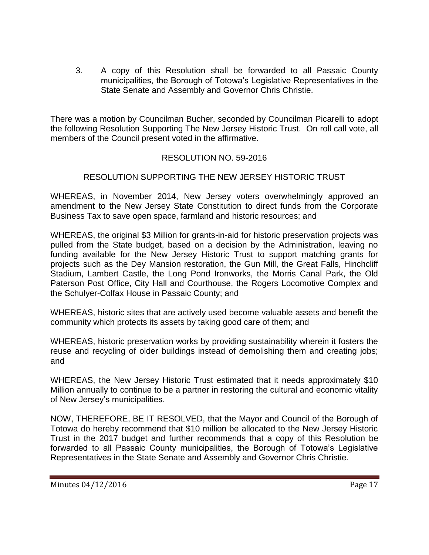3. A copy of this Resolution shall be forwarded to all Passaic County municipalities, the Borough of Totowa's Legislative Representatives in the State Senate and Assembly and Governor Chris Christie.

There was a motion by Councilman Bucher, seconded by Councilman Picarelli to adopt the following Resolution Supporting The New Jersey Historic Trust. On roll call vote, all members of the Council present voted in the affirmative.

# RESOLUTION NO. 59-2016

## RESOLUTION SUPPORTING THE NEW JERSEY HISTORIC TRUST

WHEREAS, in November 2014, New Jersey voters overwhelmingly approved an amendment to the New Jersey State Constitution to direct funds from the Corporate Business Tax to save open space, farmland and historic resources; and

WHEREAS, the original \$3 Million for grants-in-aid for historic preservation projects was pulled from the State budget, based on a decision by the Administration, leaving no funding available for the New Jersey Historic Trust to support matching grants for projects such as the Dey Mansion restoration, the Gun Mill, the Great Falls, Hinchcliff Stadium, Lambert Castle, the Long Pond Ironworks, the Morris Canal Park, the Old Paterson Post Office, City Hall and Courthouse, the Rogers Locomotive Complex and the Schulyer-Colfax House in Passaic County; and

WHEREAS, historic sites that are actively used become valuable assets and benefit the community which protects its assets by taking good care of them; and

WHEREAS, historic preservation works by providing sustainability wherein it fosters the reuse and recycling of older buildings instead of demolishing them and creating jobs; and

WHEREAS, the New Jersey Historic Trust estimated that it needs approximately \$10 Million annually to continue to be a partner in restoring the cultural and economic vitality of New Jersey's municipalities.

NOW, THEREFORE, BE IT RESOLVED, that the Mayor and Council of the Borough of Totowa do hereby recommend that \$10 million be allocated to the New Jersey Historic Trust in the 2017 budget and further recommends that a copy of this Resolution be forwarded to all Passaic County municipalities, the Borough of Totowa's Legislative Representatives in the State Senate and Assembly and Governor Chris Christie.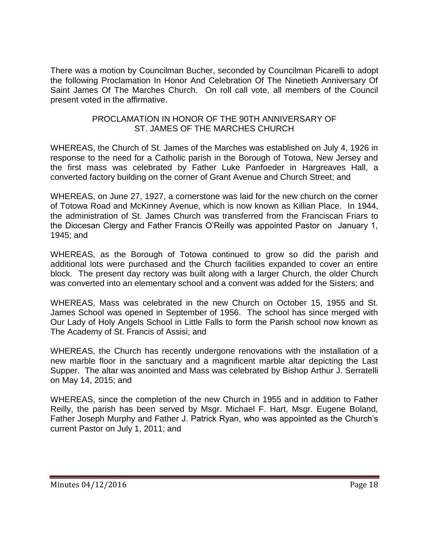There was a motion by Councilman Bucher, seconded by Councilman Picarelli to adopt the following Proclamation In Honor And Celebration Of The Ninetieth Anniversary Of Saint James Of The Marches Church. On roll call vote, all members of the Council present voted in the affirmative.

#### PROCLAMATION IN HONOR OF THE 90TH ANNIVERSARY OF ST. JAMES OF THE MARCHES CHURCH

WHEREAS, the Church of St. James of the Marches was established on July 4, 1926 in response to the need for a Catholic parish in the Borough of Totowa, New Jersey and the first mass was celebrated by Father Luke Panfoeder in Hargreaves Hall, a converted factory building on the corner of Grant Avenue and Church Street; and

WHEREAS, on June 27, 1927, a cornerstone was laid for the new church on the corner of Totowa Road and McKinney Avenue, which is now known as Killian Place. In 1944, the administration of St. James Church was transferred from the Franciscan Friars to the Diocesan Clergy and Father Francis O'Reilly was appointed Pastor on January 1, 1945; and

WHEREAS, as the Borough of Totowa continued to grow so did the parish and additional lots were purchased and the Church facilities expanded to cover an entire block. The present day rectory was built along with a larger Church, the older Church was converted into an elementary school and a convent was added for the Sisters; and

WHEREAS, Mass was celebrated in the new Church on October 15, 1955 and St. James School was opened in September of 1956. The school has since merged with Our Lady of Holy Angels School in Little Falls to form the Parish school now known as The Academy of St. Francis of Assisi; and

WHEREAS, the Church has recently undergone renovations with the installation of a new marble floor in the sanctuary and a magnificent marble altar depicting the Last Supper. The altar was anointed and Mass was celebrated by Bishop Arthur J. Serratelli on May 14, 2015; and

WHEREAS, since the completion of the new Church in 1955 and in addition to Father Reilly, the parish has been served by Msgr. Michael F. Hart, Msgr. Eugene Boland, Father Joseph Murphy and Father J. Patrick Ryan, who was appointed as the Church's current Pastor on July 1, 2011; and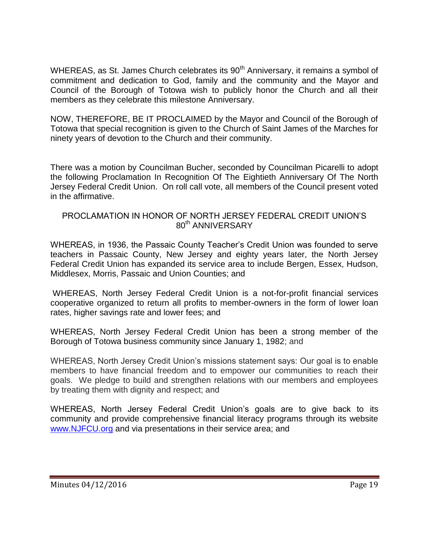WHEREAS, as St. James Church celebrates its 90<sup>th</sup> Anniversary, it remains a symbol of commitment and dedication to God, family and the community and the Mayor and Council of the Borough of Totowa wish to publicly honor the Church and all their members as they celebrate this milestone Anniversary.

NOW, THEREFORE, BE IT PROCLAIMED by the Mayor and Council of the Borough of Totowa that special recognition is given to the Church of Saint James of the Marches for ninety years of devotion to the Church and their community.

There was a motion by Councilman Bucher, seconded by Councilman Picarelli to adopt the following Proclamation In Recognition Of The Eightieth Anniversary Of The North Jersey Federal Credit Union. On roll call vote, all members of the Council present voted in the affirmative.

#### PROCLAMATION IN HONOR OF NORTH JERSEY FEDERAL CREDIT UNION'S 80<sup>th</sup> ANNIVERSARY

WHEREAS, in 1936, the Passaic County Teacher's Credit Union was founded to serve teachers in Passaic County, New Jersey and eighty years later, the North Jersey Federal Credit Union has expanded its service area to include Bergen, Essex, Hudson, Middlesex, Morris, Passaic and Union Counties; and

WHEREAS, North Jersey Federal Credit Union is a not-for-profit financial services cooperative organized to return all profits to member-owners in the form of lower loan rates, higher savings rate and lower fees; and

WHEREAS, North Jersey Federal Credit Union has been a strong member of the Borough of Totowa business community since January 1, 1982; and

WHEREAS, North Jersey Credit Union's missions statement says: Our goal is to enable members to have financial freedom and to empower our communities to reach their goals. We pledge to build and strengthen relations with our members and employees by treating them with dignity and respect; and

WHEREAS, North Jersey Federal Credit Union's goals are to give back to its community and provide comprehensive financial literacy programs through its website [www.NJFCU.org](http://www.njfcu.org/) and via presentations in their service area; and